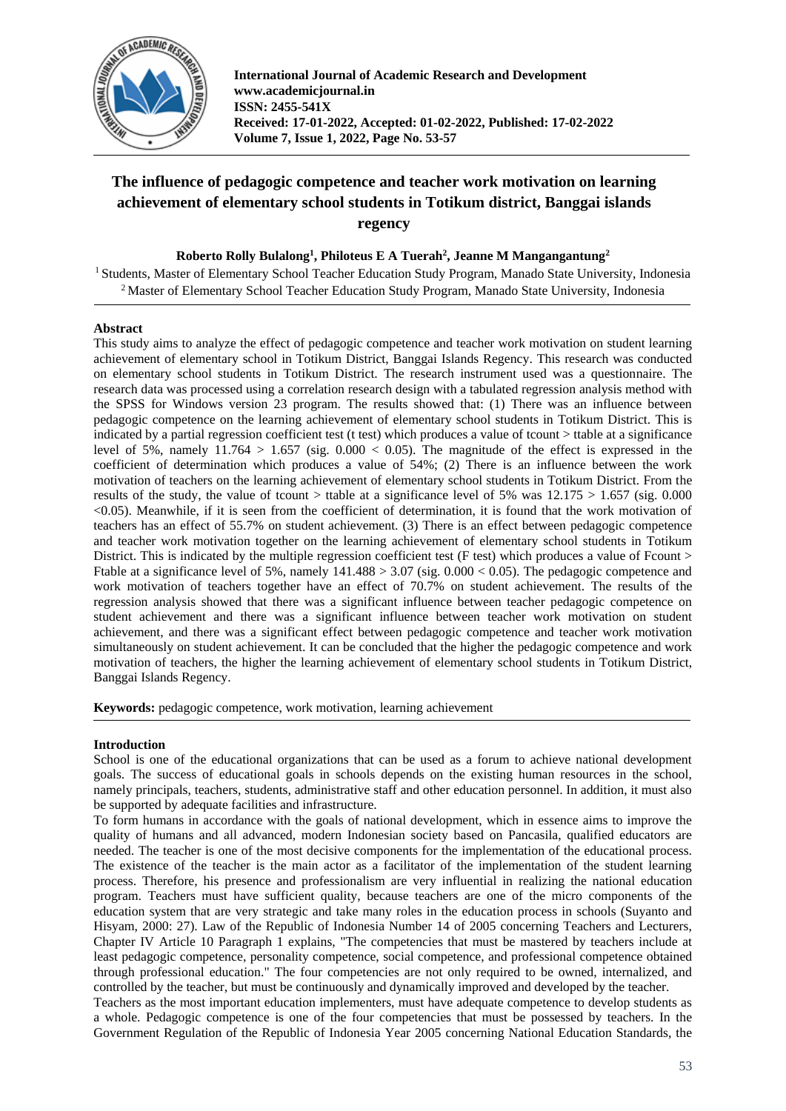

**International Journal of Academic Research and Development www.academicjournal.in ISSN: 2455-541X Received: 17-01-2022, Accepted: 01-02-2022, Published: 17-02-2022 Volume 7, Issue 1, 2022, Page No. 53-57**

# **The influence of pedagogic competence and teacher work motivation on learning achievement of elementary school students in Totikum district, Banggai islands regency**

**Roberto Rolly Bulalong<sup>1</sup> , Philoteus E A Tuerah<sup>2</sup> , Jeanne M Mangangantung<sup>2</sup>**

<sup>1</sup> Students, Master of Elementary School Teacher Education Study Program, Manado State University, Indonesia <sup>2</sup> Master of Elementary School Teacher Education Study Program, Manado State University, Indonesia

## **Abstract**

This study aims to analyze the effect of pedagogic competence and teacher work motivation on student learning achievement of elementary school in Totikum District, Banggai Islands Regency. This research was conducted on elementary school students in Totikum District. The research instrument used was a questionnaire. The research data was processed using a correlation research design with a tabulated regression analysis method with the SPSS for Windows version 23 program. The results showed that: (1) There was an influence between pedagogic competence on the learning achievement of elementary school students in Totikum District. This is indicated by a partial regression coefficient test (t test) which produces a value of tcount > ttable at a significance level of 5%, namely  $11.764 > 1.657$  (sig.  $0.000 < 0.05$ ). The magnitude of the effect is expressed in the coefficient of determination which produces a value of 54%; (2) There is an influence between the work motivation of teachers on the learning achievement of elementary school students in Totikum District. From the results of the study, the value of tcount > ttable at a significance level of 5% was  $12.175 > 1.657$  (sig. 0.000) <0.05). Meanwhile, if it is seen from the coefficient of determination, it is found that the work motivation of teachers has an effect of 55.7% on student achievement. (3) There is an effect between pedagogic competence and teacher work motivation together on the learning achievement of elementary school students in Totikum District. This is indicated by the multiple regression coefficient test (F test) which produces a value of Fcount > Ftable at a significance level of 5%, namely 141.488 > 3.07 (sig. 0.000 < 0.05). The pedagogic competence and work motivation of teachers together have an effect of 70.7% on student achievement. The results of the regression analysis showed that there was a significant influence between teacher pedagogic competence on student achievement and there was a significant influence between teacher work motivation on student achievement, and there was a significant effect between pedagogic competence and teacher work motivation simultaneously on student achievement. It can be concluded that the higher the pedagogic competence and work motivation of teachers, the higher the learning achievement of elementary school students in Totikum District, Banggai Islands Regency.

**Keywords:** pedagogic competence, work motivation, learning achievement

## **Introduction**

School is one of the educational organizations that can be used as a forum to achieve national development goals. The success of educational goals in schools depends on the existing human resources in the school, namely principals, teachers, students, administrative staff and other education personnel. In addition, it must also be supported by adequate facilities and infrastructure.

To form humans in accordance with the goals of national development, which in essence aims to improve the quality of humans and all advanced, modern Indonesian society based on Pancasila, qualified educators are needed. The teacher is one of the most decisive components for the implementation of the educational process. The existence of the teacher is the main actor as a facilitator of the implementation of the student learning process. Therefore, his presence and professionalism are very influential in realizing the national education program. Teachers must have sufficient quality, because teachers are one of the micro components of the education system that are very strategic and take many roles in the education process in schools (Suyanto and Hisyam, 2000: 27). Law of the Republic of Indonesia Number 14 of 2005 concerning Teachers and Lecturers, Chapter IV Article 10 Paragraph 1 explains, "The competencies that must be mastered by teachers include at least pedagogic competence, personality competence, social competence, and professional competence obtained through professional education." The four competencies are not only required to be owned, internalized, and controlled by the teacher, but must be continuously and dynamically improved and developed by the teacher.

Teachers as the most important education implementers, must have adequate competence to develop students as a whole. Pedagogic competence is one of the four competencies that must be possessed by teachers. In the Government Regulation of the Republic of Indonesia Year 2005 concerning National Education Standards, the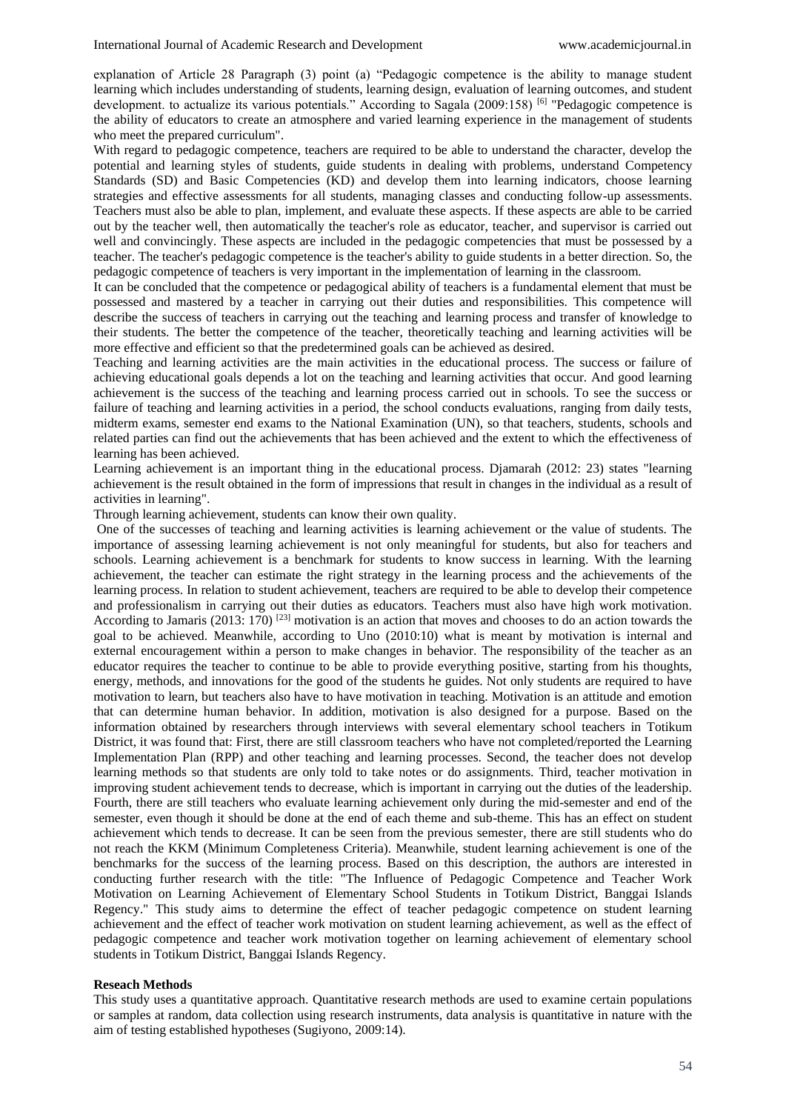explanation of Article 28 Paragraph (3) point (a) "Pedagogic competence is the ability to manage student learning which includes understanding of students, learning design, evaluation of learning outcomes, and student development. to actualize its various potentials." According to Sagala (2009:158) <sup>[6]</sup> "Pedagogic competence is the ability of educators to create an atmosphere and varied learning experience in the management of students who meet the prepared curriculum".

With regard to pedagogic competence, teachers are required to be able to understand the character, develop the potential and learning styles of students, guide students in dealing with problems, understand Competency Standards (SD) and Basic Competencies (KD) and develop them into learning indicators, choose learning strategies and effective assessments for all students, managing classes and conducting follow-up assessments. Teachers must also be able to plan, implement, and evaluate these aspects. If these aspects are able to be carried out by the teacher well, then automatically the teacher's role as educator, teacher, and supervisor is carried out well and convincingly. These aspects are included in the pedagogic competencies that must be possessed by a teacher. The teacher's pedagogic competence is the teacher's ability to guide students in a better direction. So, the pedagogic competence of teachers is very important in the implementation of learning in the classroom.

It can be concluded that the competence or pedagogical ability of teachers is a fundamental element that must be possessed and mastered by a teacher in carrying out their duties and responsibilities. This competence will describe the success of teachers in carrying out the teaching and learning process and transfer of knowledge to their students. The better the competence of the teacher, theoretically teaching and learning activities will be more effective and efficient so that the predetermined goals can be achieved as desired.

Teaching and learning activities are the main activities in the educational process. The success or failure of achieving educational goals depends a lot on the teaching and learning activities that occur. And good learning achievement is the success of the teaching and learning process carried out in schools. To see the success or failure of teaching and learning activities in a period, the school conducts evaluations, ranging from daily tests, midterm exams, semester end exams to the National Examination (UN), so that teachers, students, schools and related parties can find out the achievements that has been achieved and the extent to which the effectiveness of learning has been achieved.

Learning achievement is an important thing in the educational process. Djamarah (2012: 23) states "learning achievement is the result obtained in the form of impressions that result in changes in the individual as a result of activities in learning".

Through learning achievement, students can know their own quality.

One of the successes of teaching and learning activities is learning achievement or the value of students. The importance of assessing learning achievement is not only meaningful for students, but also for teachers and schools. Learning achievement is a benchmark for students to know success in learning. With the learning achievement, the teacher can estimate the right strategy in the learning process and the achievements of the learning process. In relation to student achievement, teachers are required to be able to develop their competence and professionalism in carrying out their duties as educators. Teachers must also have high work motivation. According to Jamaris (2013:  $170$ ) <sup>[23]</sup> motivation is an action that moves and chooses to do an action towards the goal to be achieved. Meanwhile, according to Uno (2010:10) what is meant by motivation is internal and external encouragement within a person to make changes in behavior. The responsibility of the teacher as an educator requires the teacher to continue to be able to provide everything positive, starting from his thoughts, energy, methods, and innovations for the good of the students he guides. Not only students are required to have motivation to learn, but teachers also have to have motivation in teaching. Motivation is an attitude and emotion that can determine human behavior. In addition, motivation is also designed for a purpose. Based on the information obtained by researchers through interviews with several elementary school teachers in Totikum District, it was found that: First, there are still classroom teachers who have not completed/reported the Learning Implementation Plan (RPP) and other teaching and learning processes. Second, the teacher does not develop learning methods so that students are only told to take notes or do assignments. Third, teacher motivation in improving student achievement tends to decrease, which is important in carrying out the duties of the leadership. Fourth, there are still teachers who evaluate learning achievement only during the mid-semester and end of the semester, even though it should be done at the end of each theme and sub-theme. This has an effect on student achievement which tends to decrease. It can be seen from the previous semester, there are still students who do not reach the KKM (Minimum Completeness Criteria). Meanwhile, student learning achievement is one of the benchmarks for the success of the learning process. Based on this description, the authors are interested in conducting further research with the title: "The Influence of Pedagogic Competence and Teacher Work Motivation on Learning Achievement of Elementary School Students in Totikum District, Banggai Islands Regency." This study aims to determine the effect of teacher pedagogic competence on student learning achievement and the effect of teacher work motivation on student learning achievement, as well as the effect of pedagogic competence and teacher work motivation together on learning achievement of elementary school students in Totikum District, Banggai Islands Regency.

#### **Reseach Methods**

This study uses a quantitative approach. Quantitative research methods are used to examine certain populations or samples at random, data collection using research instruments, data analysis is quantitative in nature with the aim of testing established hypotheses (Sugiyono, 2009:14).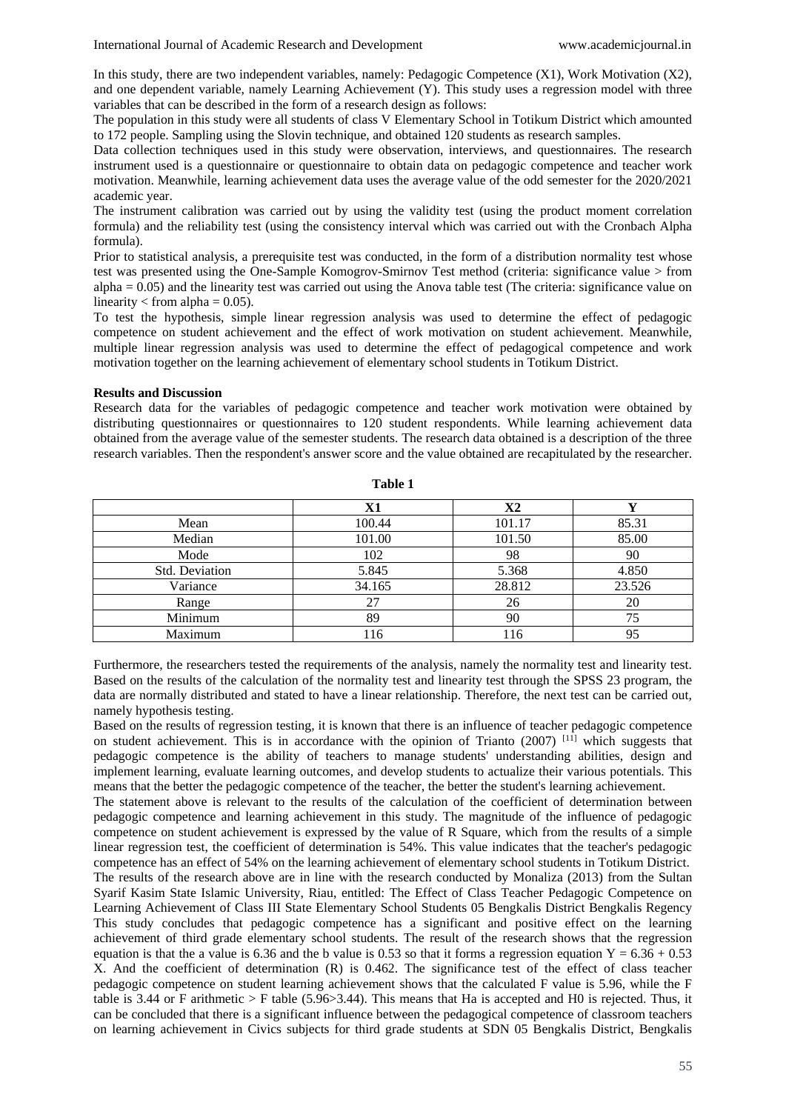In this study, there are two independent variables, namely: Pedagogic Competence (X1), Work Motivation (X2), and one dependent variable, namely Learning Achievement (Y). This study uses a regression model with three variables that can be described in the form of a research design as follows:

The population in this study were all students of class V Elementary School in Totikum District which amounted to 172 people. Sampling using the Slovin technique, and obtained 120 students as research samples.

Data collection techniques used in this study were observation, interviews, and questionnaires. The research instrument used is a questionnaire or questionnaire to obtain data on pedagogic competence and teacher work motivation. Meanwhile, learning achievement data uses the average value of the odd semester for the 2020/2021 academic year.

The instrument calibration was carried out by using the validity test (using the product moment correlation formula) and the reliability test (using the consistency interval which was carried out with the Cronbach Alpha formula).

Prior to statistical analysis, a prerequisite test was conducted, in the form of a distribution normality test whose test was presented using the One-Sample Komogrov-Smirnov Test method (criteria: significance value > from  $alpha = 0.05$ ) and the linearity test was carried out using the Anova table test (The criteria: significance value on linearity  $<$  from alpha = 0.05).

To test the hypothesis, simple linear regression analysis was used to determine the effect of pedagogic competence on student achievement and the effect of work motivation on student achievement. Meanwhile, multiple linear regression analysis was used to determine the effect of pedagogical competence and work motivation together on the learning achievement of elementary school students in Totikum District.

### **Results and Discussion**

Research data for the variables of pedagogic competence and teacher work motivation were obtained by distributing questionnaires or questionnaires to 120 student respondents. While learning achievement data obtained from the average value of the semester students. The research data obtained is a description of the three research variables. Then the respondent's answer score and the value obtained are recapitulated by the researcher.

|                | X1     | X2     |        |
|----------------|--------|--------|--------|
| Mean           | 100.44 | 101.17 | 85.31  |
| Median         | 101.00 | 101.50 | 85.00  |
| Mode           | 102    | 98     | 90     |
| Std. Deviation | 5.845  | 5.368  | 4.850  |
| Variance       | 34.165 | 28.812 | 23.526 |
| Range          | 27     | 26     | 20     |
| Minimum        | 89     | 90     | 75     |
| Maximum        | 116    | 116    |        |

**Table 1**

Furthermore, the researchers tested the requirements of the analysis, namely the normality test and linearity test. Based on the results of the calculation of the normality test and linearity test through the SPSS 23 program, the data are normally distributed and stated to have a linear relationship. Therefore, the next test can be carried out, namely hypothesis testing.

Based on the results of regression testing, it is known that there is an influence of teacher pedagogic competence on student achievement. This is in accordance with the opinion of Trianto  $(2007)$  [11] which suggests that pedagogic competence is the ability of teachers to manage students' understanding abilities, design and implement learning, evaluate learning outcomes, and develop students to actualize their various potentials. This means that the better the pedagogic competence of the teacher, the better the student's learning achievement.

The statement above is relevant to the results of the calculation of the coefficient of determination between pedagogic competence and learning achievement in this study. The magnitude of the influence of pedagogic competence on student achievement is expressed by the value of R Square, which from the results of a simple linear regression test, the coefficient of determination is 54%. This value indicates that the teacher's pedagogic competence has an effect of 54% on the learning achievement of elementary school students in Totikum District. The results of the research above are in line with the research conducted by Monaliza (2013) from the Sultan Syarif Kasim State Islamic University, Riau, entitled: The Effect of Class Teacher Pedagogic Competence on Learning Achievement of Class III State Elementary School Students 05 Bengkalis District Bengkalis Regency This study concludes that pedagogic competence has a significant and positive effect on the learning achievement of third grade elementary school students. The result of the research shows that the regression equation is that the a value is 6.36 and the b value is 0.53 so that it forms a regression equation  $Y = 6.36 + 0.53$ X. And the coefficient of determination (R) is 0.462. The significance test of the effect of class teacher pedagogic competence on student learning achievement shows that the calculated F value is 5.96, while the F table is 3.44 or F arithmetic > F table (5.96>3.44). This means that Ha is accepted and H0 is rejected. Thus, it can be concluded that there is a significant influence between the pedagogical competence of classroom teachers on learning achievement in Civics subjects for third grade students at SDN 05 Bengkalis District, Bengkalis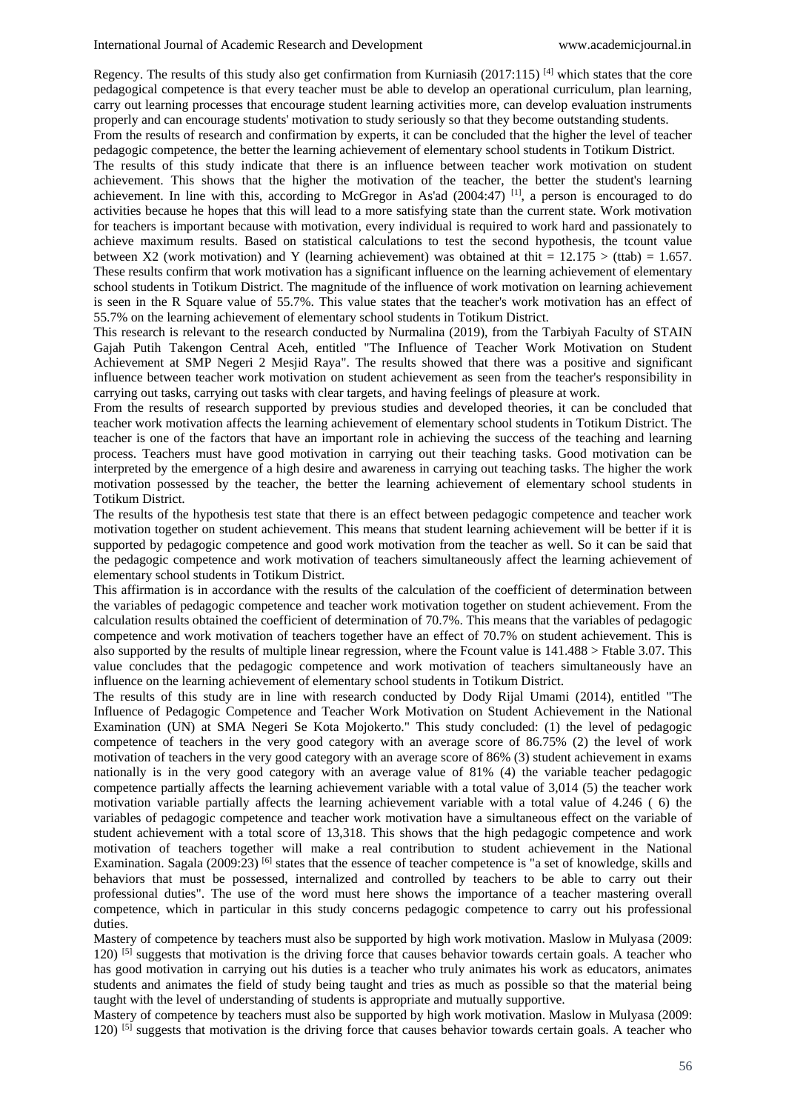Regency. The results of this study also get confirmation from Kurniasih (2017:115)<sup>[4]</sup> which states that the core pedagogical competence is that every teacher must be able to develop an operational curriculum, plan learning, carry out learning processes that encourage student learning activities more, can develop evaluation instruments properly and can encourage students' motivation to study seriously so that they become outstanding students.

From the results of research and confirmation by experts, it can be concluded that the higher the level of teacher pedagogic competence, the better the learning achievement of elementary school students in Totikum District.

The results of this study indicate that there is an influence between teacher work motivation on student achievement. This shows that the higher the motivation of the teacher, the better the student's learning achievement. In line with this, according to McGregor in As'ad  $(2004:47)$  [1], a person is encouraged to do activities because he hopes that this will lead to a more satisfying state than the current state. Work motivation for teachers is important because with motivation, every individual is required to work hard and passionately to achieve maximum results. Based on statistical calculations to test the second hypothesis, the tcount value between X2 (work motivation) and Y (learning achievement) was obtained at thit =  $12.175 >$  (ttab) = 1.657. These results confirm that work motivation has a significant influence on the learning achievement of elementary school students in Totikum District. The magnitude of the influence of work motivation on learning achievement is seen in the R Square value of 55.7%. This value states that the teacher's work motivation has an effect of 55.7% on the learning achievement of elementary school students in Totikum District.

This research is relevant to the research conducted by Nurmalina (2019), from the Tarbiyah Faculty of STAIN Gajah Putih Takengon Central Aceh, entitled "The Influence of Teacher Work Motivation on Student Achievement at SMP Negeri 2 Mesjid Raya". The results showed that there was a positive and significant influence between teacher work motivation on student achievement as seen from the teacher's responsibility in carrying out tasks, carrying out tasks with clear targets, and having feelings of pleasure at work.

From the results of research supported by previous studies and developed theories, it can be concluded that teacher work motivation affects the learning achievement of elementary school students in Totikum District. The teacher is one of the factors that have an important role in achieving the success of the teaching and learning process. Teachers must have good motivation in carrying out their teaching tasks. Good motivation can be interpreted by the emergence of a high desire and awareness in carrying out teaching tasks. The higher the work motivation possessed by the teacher, the better the learning achievement of elementary school students in Totikum District.

The results of the hypothesis test state that there is an effect between pedagogic competence and teacher work motivation together on student achievement. This means that student learning achievement will be better if it is supported by pedagogic competence and good work motivation from the teacher as well. So it can be said that the pedagogic competence and work motivation of teachers simultaneously affect the learning achievement of elementary school students in Totikum District.

This affirmation is in accordance with the results of the calculation of the coefficient of determination between the variables of pedagogic competence and teacher work motivation together on student achievement. From the calculation results obtained the coefficient of determination of 70.7%. This means that the variables of pedagogic competence and work motivation of teachers together have an effect of 70.7% on student achievement. This is also supported by the results of multiple linear regression, where the Fcount value is 141.488 > Ftable 3.07. This value concludes that the pedagogic competence and work motivation of teachers simultaneously have an influence on the learning achievement of elementary school students in Totikum District.

The results of this study are in line with research conducted by Dody Rijal Umami (2014), entitled "The Influence of Pedagogic Competence and Teacher Work Motivation on Student Achievement in the National Examination (UN) at SMA Negeri Se Kota Mojokerto." This study concluded: (1) the level of pedagogic competence of teachers in the very good category with an average score of 86.75% (2) the level of work motivation of teachers in the very good category with an average score of 86% (3) student achievement in exams nationally is in the very good category with an average value of 81% (4) the variable teacher pedagogic competence partially affects the learning achievement variable with a total value of 3,014 (5) the teacher work motivation variable partially affects the learning achievement variable with a total value of 4.246 ( 6) the variables of pedagogic competence and teacher work motivation have a simultaneous effect on the variable of student achievement with a total score of 13,318. This shows that the high pedagogic competence and work motivation of teachers together will make a real contribution to student achievement in the National Examination. Sagala (2009:23) <sup>[6]</sup> states that the essence of teacher competence is "a set of knowledge, skills and behaviors that must be possessed, internalized and controlled by teachers to be able to carry out their professional duties". The use of the word must here shows the importance of a teacher mastering overall competence, which in particular in this study concerns pedagogic competence to carry out his professional duties.

Mastery of competence by teachers must also be supported by high work motivation. Maslow in Mulyasa (2009: 120) [5] suggests that motivation is the driving force that causes behavior towards certain goals. A teacher who has good motivation in carrying out his duties is a teacher who truly animates his work as educators, animates students and animates the field of study being taught and tries as much as possible so that the material being taught with the level of understanding of students is appropriate and mutually supportive.

Mastery of competence by teachers must also be supported by high work motivation. Maslow in Mulyasa (2009: 120) [5] suggests that motivation is the driving force that causes behavior towards certain goals. A teacher who